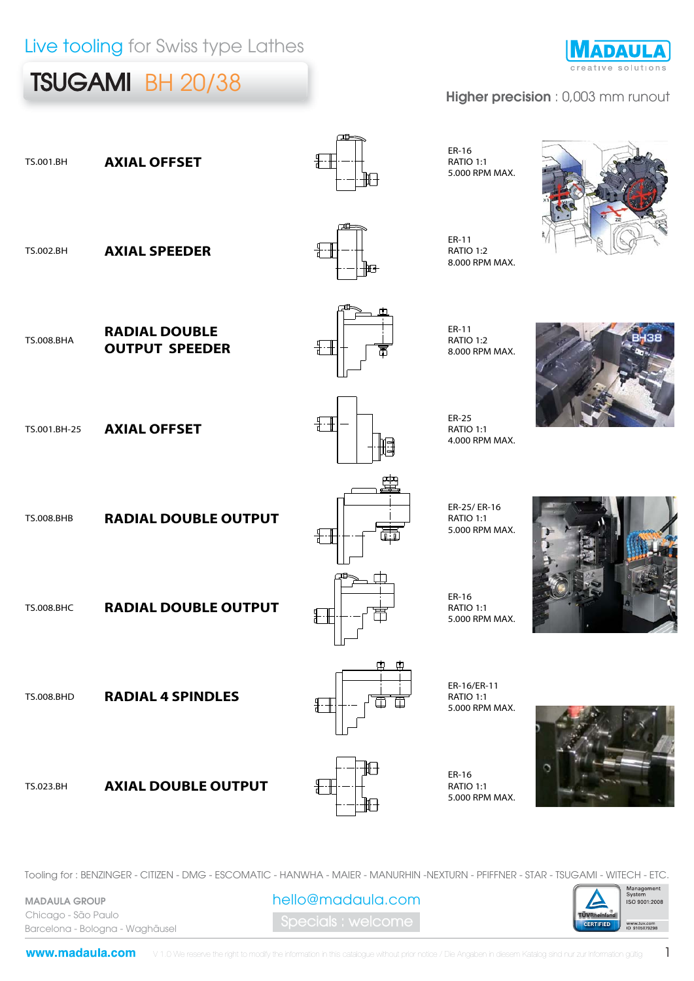## TSUGAMI BH 20/38



#### Higher precision : 0,003 mm runout

| TS.001.BH         | <b>AXIAL OFFSET</b>                           |   | ER-16<br><b>RATIO 1:1</b><br>5.000 RPM MAX.        |  |
|-------------------|-----------------------------------------------|---|----------------------------------------------------|--|
| TS.002.BH         | <b>AXIAL SPEEDER</b>                          |   | ER-11<br>RATIO 1:2<br>8.000 RPM MAX.               |  |
| TS.008.BHA        | <b>RADIAL DOUBLE</b><br><b>OUTPUT SPEEDER</b> | m | ER-11<br>RATIO 1:2<br>8.000 RPM MAX.               |  |
| TS.001.BH-25      | <b>AXIAL OFFSET</b>                           |   | <b>ER-25</b><br><b>RATIO 1:1</b><br>4.000 RPM MAX. |  |
| TS.008.BHB        | <b>RADIAL DOUBLE OUTPUT</b>                   |   | ER-25/ER-16<br>RATIO 1:1<br>5.000 RPM MAX.         |  |
| <b>TS.008.BHC</b> | <b>RADIAL DOUBLE OUTPUT</b>                   |   | ER-16<br>RATIO 1:1<br>5.000 RPM MAX.               |  |
| TS.008.BHD        | <b>RADIAL 4 SPINDLES</b>                      |   | ER-16/ER-11<br><b>RATIO 1:1</b><br>5.000 RPM MAX.  |  |
| TS.023.BH         | <b>AXIAL DOUBLE OUTPUT</b>                    |   | ER-16<br>RATIO 1:1<br>5.000 RPM MAX.               |  |
|                   |                                               |   |                                                    |  |

 $\overline{a}$ 

Tooling for : BENZINGER - CITIZEN - DMG - ESCOMATIC - HANWHA - MAIER - MANURHIN -NEXTURN - PFIFFNER - STAR - TSUGAMI - WITECH - ETC.

MADAULA GROUP Chicago - São Paulo Barcelona - Bologna - Waghäusel

Specials : welcome hello@madaula.com





**ÜVRheinia** CERTIFIED

**ISO 9001:2008** www.tuv.com<br>ID 9105079298

Manager<br>System

1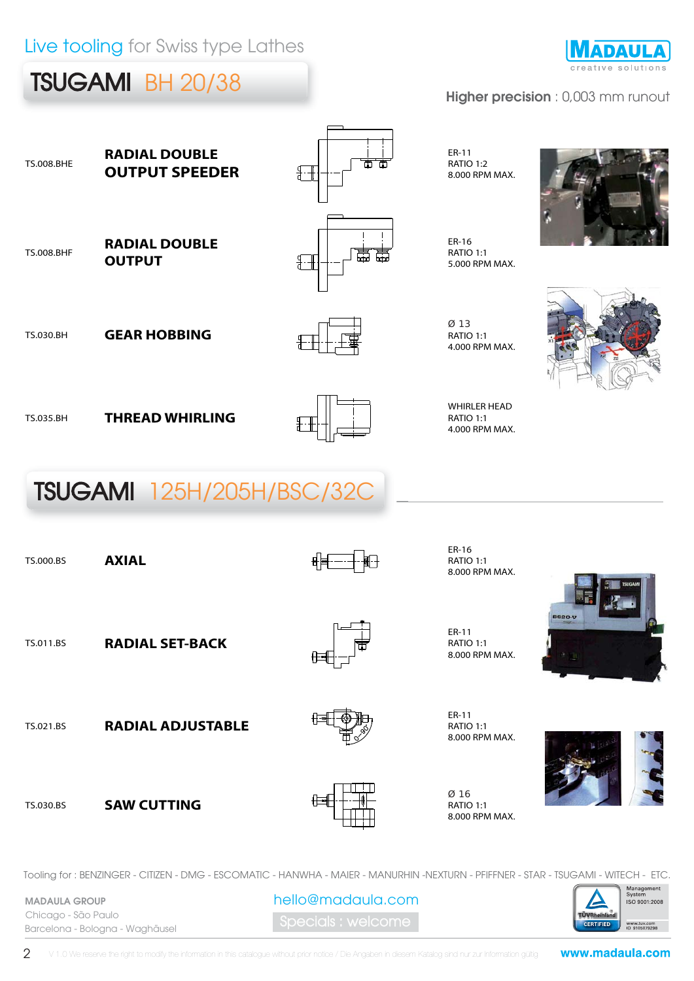### TSUGAMI BH 20/38



#### Higher precision : 0,003 mm runout

| <b>TS.008.BHE</b> | <b>RADIAL DOUBLE</b><br><b>OUTPUT SPEEDER</b> | कक<br>╶╡╌╂ | ER-11<br>RATIO 1:2<br>8.000 RPM MAX.                      |  |
|-------------------|-----------------------------------------------|------------|-----------------------------------------------------------|--|
| <b>TS.008.BHF</b> | <b>RADIAL DOUBLE</b><br><b>OUTPUT</b>         | 豊豊         | ER-16<br><b>RATIO 1:1</b><br>5.000 RPM MAX.               |  |
| <b>TS.030.BH</b>  | <b>GEAR HOBBING</b>                           |            | Ø 13<br><b>RATIO 1:1</b><br>4.000 RPM MAX.                |  |
| TS.035.BH         | <b>THREAD WHIRLING</b>                        |            | <b>WHIRLER HEAD</b><br><b>RATIO 1:1</b><br>4.000 RPM MAX. |  |

# TSUGAMI 125H/205H/BSC/32C

| TS.000.BS | <b>AXIAL</b>             | 剮 |
|-----------|--------------------------|---|
| TS.011.BS | <b>RADIAL SET-BACK</b>   |   |
| TS.021.BS | <b>RADIAL ADJUSTABLE</b> |   |
| TS.030.BS | <b>SAW CUTTING</b>       |   |



RATIO 1:1 8.000 RPM MAX.

ER-16 RATIO 1:1 8.000 RPM MAX.

ER-11 RATIO 1:1 8.000 RPM MAX.

ER-11

Ø 16 RATIO 1:1 8.000 RPM MAX.



8920-V

Tooling for : BENZINGER - CITIZEN - DMG - ESCOMATIC - HANWHA - MAIER - MANURHIN -NEXTURN - PFIFFNER - STAR - TSUGAMI - WITECH - ETC.

pecials : welcome hello@madaula.com MADAULA GROUP Chicago - São Paulo Barcelona - Bologna - Waghäusel



2 V 1.0 We reserve the right to modify the information in this catalogue without prior notice / Die Angaben in diesem Katalog sind nur zur Information gültig

www.madaula.com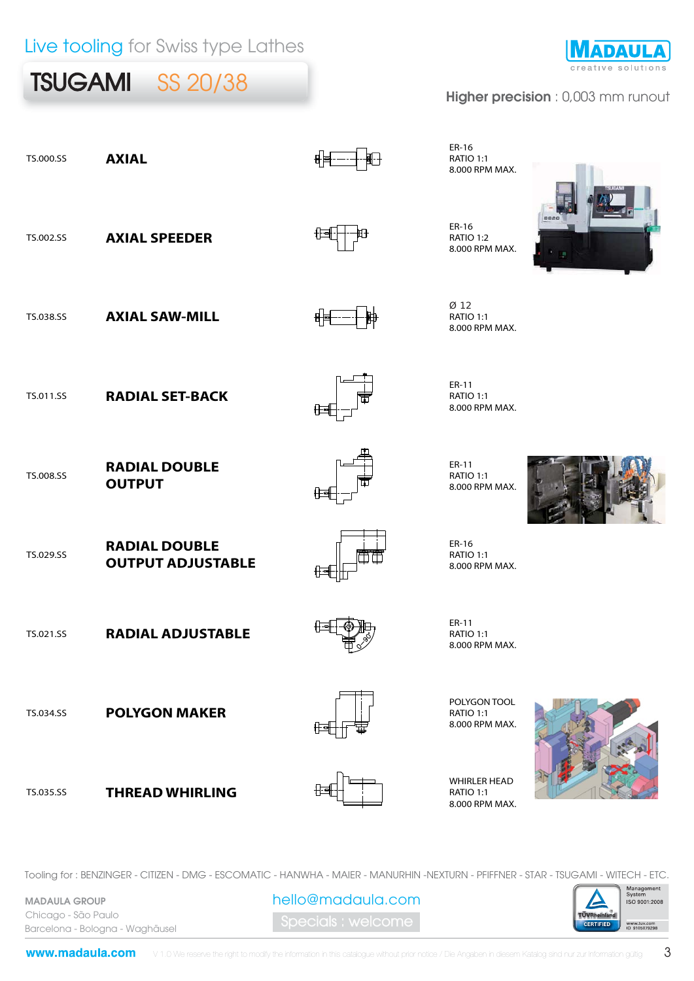TSUGAMI SS 20/38



#### Higher precision : 0,003 mm runout

| TS.000.SS | <b>AXIAL</b>                                     |    | ER-16<br><b>RATIO 1:1</b><br>8.000 RPM MAX.               |             |
|-----------|--------------------------------------------------|----|-----------------------------------------------------------|-------------|
| TS.002.SS | <b>AXIAL SPEEDER</b>                             |    | ER-16<br><b>RATIO 1:2</b><br>8.000 RPM MAX.               | <b>9920</b> |
| TS.038.SS | <b>AXIAL SAW-MILL</b>                            |    | Ø 12<br>RATIO 1:1<br>8.000 RPM MAX.                       |             |
| TS.011.SS | <b>RADIAL SET-BACK</b>                           | ╫╺ | ER-11<br><b>RATIO 1:1</b><br>8.000 RPM MAX.               |             |
| TS.008.SS | <b>RADIAL DOUBLE</b><br><b>OUTPUT</b>            | Ѥ  | ER-11<br>RATIO 1:1<br>8.000 RPM MAX.                      |             |
| TS.029.SS | <b>RADIAL DOUBLE</b><br><b>OUTPUT ADJUSTABLE</b> |    | ER-16<br><b>RATIO 1:1</b><br>8.000 RPM MAX.               |             |
| TS.021.SS | <b>RADIAL ADJUSTABLE</b>                         |    | ER-11<br><b>RATIO 1:1</b><br>8.000 RPM MAX.               |             |
| TS.034.SS | <b>POLYGON MAKER</b>                             |    | POLYGON TOOL<br>RATIO 1:1<br>8.000 RPM MAX.               |             |
| TS.035.SS | <b>THREAD WHIRLING</b>                           |    | <b>WHIRLER HEAD</b><br><b>RATIO 1:1</b><br>8.000 RPM MAX. |             |

Tooling for : BENZINGER - CITIZEN - DMG - ESCOMATIC - HANWHA - MAIER - MANURHIN -NEXTURN - PFIFFNER - STAR - TSUGAMI - WITECH - ETC.

MADAULA GROUP Chicago - São Paulo Barcelona - Bologna - Waghäusel

Specials : welcome hello@madaula.com



www.madaula.com V 1.0 We reserve the right to modify the information in this catalogue without prior notice / Die Angaben in diesem Katalog sind nur zur Information gültig